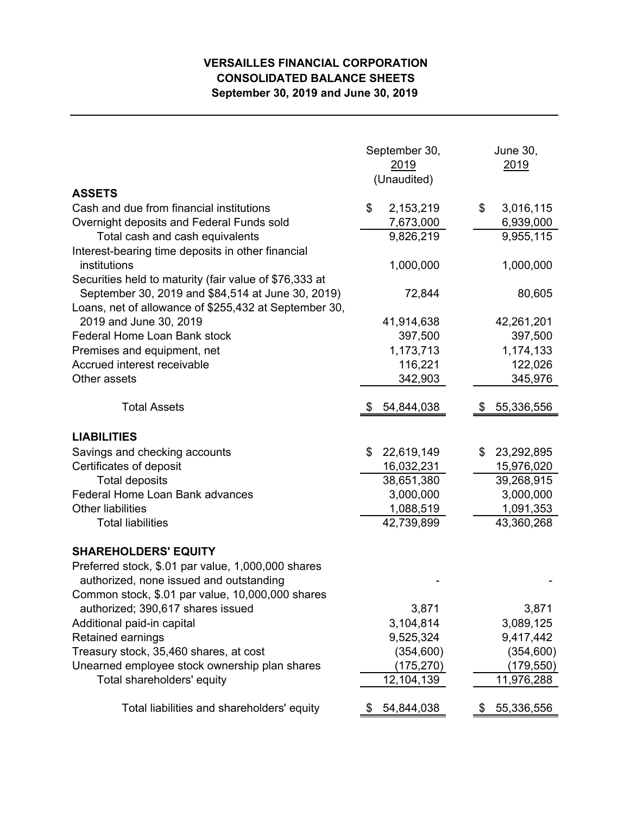## **VERSAILLES FINANCIAL CORPORATION CONSOLIDATED BALANCE SHEETS September 30, 2019 and June 30, 2019**

|                                                                                       | September 30,<br>2019<br>(Unaudited) | <b>June 30,</b><br>2019      |  |
|---------------------------------------------------------------------------------------|--------------------------------------|------------------------------|--|
| <b>ASSETS</b>                                                                         |                                      |                              |  |
| Cash and due from financial institutions<br>Overnight deposits and Federal Funds sold | \$<br>2,153,219<br>7,673,000         | 3,016,115<br>\$<br>6,939,000 |  |
| Total cash and cash equivalents                                                       | 9,826,219                            | 9,955,115                    |  |
| Interest-bearing time deposits in other financial                                     |                                      |                              |  |
| institutions                                                                          | 1,000,000                            | 1,000,000                    |  |
| Securities held to maturity (fair value of \$76,333 at                                |                                      |                              |  |
| September 30, 2019 and \$84,514 at June 30, 2019)                                     | 72,844                               | 80,605                       |  |
| Loans, net of allowance of \$255,432 at September 30,                                 |                                      |                              |  |
| 2019 and June 30, 2019                                                                | 41,914,638                           | 42,261,201                   |  |
| Federal Home Loan Bank stock                                                          | 397,500                              | 397,500                      |  |
| Premises and equipment, net                                                           | 1,173,713                            | 1,174,133                    |  |
| Accrued interest receivable                                                           | 116,221                              | 122,026                      |  |
| Other assets                                                                          | 342,903                              | 345,976                      |  |
|                                                                                       |                                      |                              |  |
| <b>Total Assets</b>                                                                   | 54,844,038                           | 55,336,556                   |  |
| <b>LIABILITIES</b>                                                                    |                                      |                              |  |
| Savings and checking accounts                                                         | 22,619,149<br>\$                     | 23,292,895<br>\$             |  |
| Certificates of deposit                                                               | 16,032,231                           | 15,976,020                   |  |
| <b>Total deposits</b>                                                                 | 38,651,380                           | 39,268,915                   |  |
| Federal Home Loan Bank advances                                                       | 3,000,000                            | 3,000,000                    |  |
| <b>Other liabilities</b>                                                              | 1,088,519                            | 1,091,353                    |  |
| <b>Total liabilities</b>                                                              | 42,739,899                           | 43,360,268                   |  |
| <b>SHAREHOLDERS' EQUITY</b>                                                           |                                      |                              |  |
| Preferred stock, \$.01 par value, 1,000,000 shares                                    |                                      |                              |  |
| authorized, none issued and outstanding                                               |                                      |                              |  |
| Common stock, \$.01 par value, 10,000,000 shares                                      |                                      |                              |  |
| authorized; 390,617 shares issued                                                     | 3,871                                | 3,871                        |  |
| Additional paid-in capital                                                            | 3,104,814                            | 3,089,125                    |  |
| Retained earnings                                                                     | 9,525,324                            | 9,417,442                    |  |
| Treasury stock, 35,460 shares, at cost                                                | (354, 600)                           | (354, 600)                   |  |
| Unearned employee stock ownership plan shares                                         | (175,270)                            | (179,550)                    |  |
| Total shareholders' equity                                                            | 12,104,139                           | 11,976,288                   |  |
| Total liabilities and shareholders' equity                                            | 54,844,038                           | 55,336,556<br>P              |  |